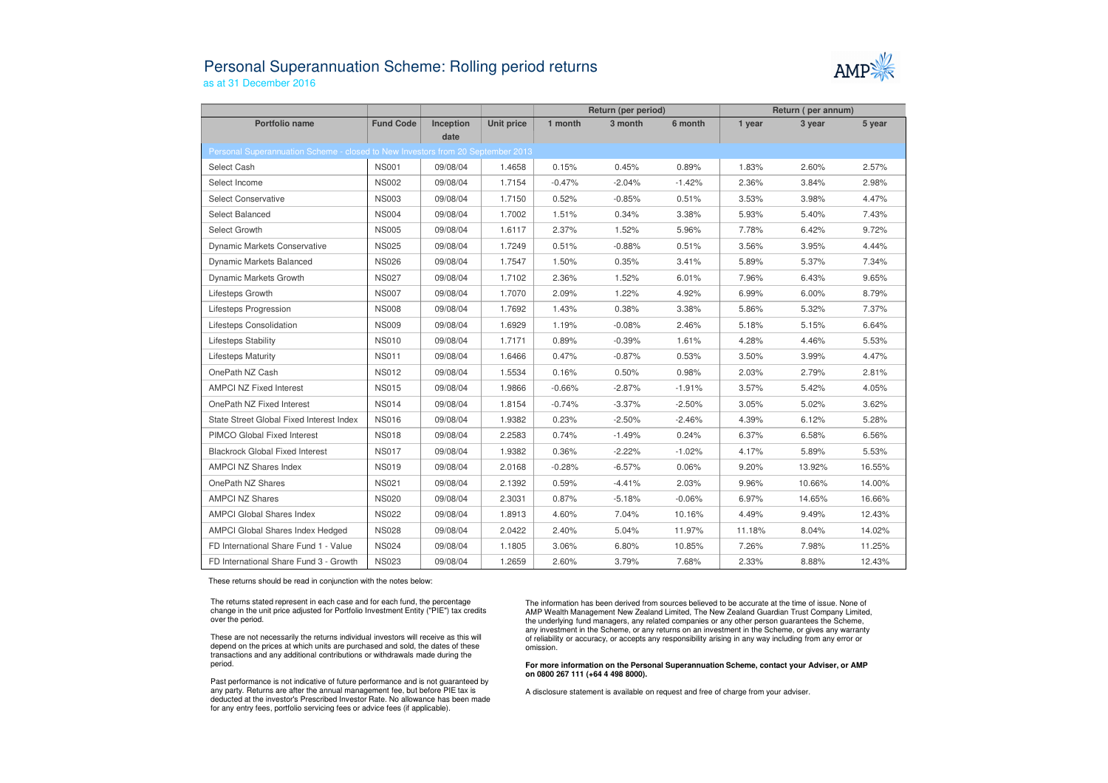## Personal Superannuation Scheme: Rolling period returnsas at 31 December 2016



|                                                                                 |                  |           |                   | Return (per period) |          |          | Return (per annum) |        |        |  |  |  |  |
|---------------------------------------------------------------------------------|------------------|-----------|-------------------|---------------------|----------|----------|--------------------|--------|--------|--|--|--|--|
| Portfolio name                                                                  | <b>Fund Code</b> | Inception | <b>Unit price</b> | 1 month             | 3 month  | 6 month  | 1 year             | 3 year | 5 year |  |  |  |  |
| date                                                                            |                  |           |                   |                     |          |          |                    |        |        |  |  |  |  |
| Personal Superannuation Scheme - closed to New Investors from 20 September 2013 |                  |           |                   |                     |          |          |                    |        |        |  |  |  |  |
| Select Cash                                                                     | <b>NS001</b>     | 09/08/04  | 1.4658            | 0.15%               | 0.45%    | 0.89%    | 1.83%              | 2.60%  | 2.57%  |  |  |  |  |
| Select Income                                                                   | <b>NS002</b>     | 09/08/04  | 1.7154            | $-0.47%$            | $-2.04%$ | $-1.42%$ | 2.36%              | 3.84%  | 2.98%  |  |  |  |  |
| <b>Select Conservative</b>                                                      | <b>NS003</b>     | 09/08/04  | 1.7150            | 0.52%               | $-0.85%$ | 0.51%    | 3.53%              | 3.98%  | 4.47%  |  |  |  |  |
| Select Balanced                                                                 | <b>NS004</b>     | 09/08/04  | 1.7002            | 1.51%               | 0.34%    | 3.38%    | 5.93%              | 5.40%  | 7.43%  |  |  |  |  |
| Select Growth                                                                   | <b>NS005</b>     | 09/08/04  | 1.6117            | 2.37%               | 1.52%    | 5.96%    | 7.78%              | 6.42%  | 9.72%  |  |  |  |  |
| <b>Dynamic Markets Conservative</b>                                             | <b>NS025</b>     | 09/08/04  | 1.7249            | 0.51%               | $-0.88%$ | 0.51%    | 3.56%              | 3.95%  | 4.44%  |  |  |  |  |
| <b>Dynamic Markets Balanced</b>                                                 | <b>NS026</b>     | 09/08/04  | 1.7547            | 1.50%               | 0.35%    | 3.41%    | 5.89%              | 5.37%  | 7.34%  |  |  |  |  |
| Dynamic Markets Growth                                                          | <b>NS027</b>     | 09/08/04  | 1.7102            | 2.36%               | 1.52%    | 6.01%    | 7.96%              | 6.43%  | 9.65%  |  |  |  |  |
| Lifesteps Growth                                                                | <b>NS007</b>     | 09/08/04  | 1.7070            | 2.09%               | 1.22%    | 4.92%    | 6.99%              | 6.00%  | 8.79%  |  |  |  |  |
| Lifesteps Progression                                                           | <b>NS008</b>     | 09/08/04  | 1.7692            | 1.43%               | 0.38%    | 3.38%    | 5.86%              | 5.32%  | 7.37%  |  |  |  |  |
| Lifesteps Consolidation                                                         | <b>NS009</b>     | 09/08/04  | 1.6929            | 1.19%               | $-0.08%$ | 2.46%    | 5.18%              | 5.15%  | 6.64%  |  |  |  |  |
| <b>Lifesteps Stability</b>                                                      | <b>NS010</b>     | 09/08/04  | 1.7171            | 0.89%               | $-0.39%$ | 1.61%    | 4.28%              | 4.46%  | 5.53%  |  |  |  |  |
| <b>Lifesteps Maturity</b>                                                       | <b>NS011</b>     | 09/08/04  | 1.6466            | 0.47%               | $-0.87%$ | 0.53%    | 3.50%              | 3.99%  | 4.47%  |  |  |  |  |
| OnePath NZ Cash                                                                 | <b>NS012</b>     | 09/08/04  | 1.5534            | 0.16%               | 0.50%    | 0.98%    | 2.03%              | 2.79%  | 2.81%  |  |  |  |  |
| <b>AMPCI NZ Fixed Interest</b>                                                  | <b>NS015</b>     | 09/08/04  | 1.9866            | $-0.66%$            | $-2.87%$ | $-1.91%$ | 3.57%              | 5.42%  | 4.05%  |  |  |  |  |
| OnePath NZ Fixed Interest                                                       | <b>NS014</b>     | 09/08/04  | 1.8154            | $-0.74%$            | $-3.37%$ | $-2.50%$ | 3.05%              | 5.02%  | 3.62%  |  |  |  |  |
| State Street Global Fixed Interest Index                                        | <b>NS016</b>     | 09/08/04  | 1.9382            | 0.23%               | $-2.50%$ | $-2.46%$ | 4.39%              | 6.12%  | 5.28%  |  |  |  |  |
| PIMCO Global Fixed Interest                                                     | <b>NS018</b>     | 09/08/04  | 2.2583            | 0.74%               | $-1.49%$ | 0.24%    | 6.37%              | 6.58%  | 6.56%  |  |  |  |  |
| <b>Blackrock Global Fixed Interest</b>                                          | <b>NS017</b>     | 09/08/04  | 1.9382            | 0.36%               | $-2.22%$ | $-1.02%$ | 4.17%              | 5.89%  | 5.53%  |  |  |  |  |
| <b>AMPCI NZ Shares Index</b>                                                    | <b>NS019</b>     | 09/08/04  | 2.0168            | $-0.28%$            | $-6.57%$ | 0.06%    | 9.20%              | 13.92% | 16.55% |  |  |  |  |
| OnePath NZ Shares                                                               | <b>NS021</b>     | 09/08/04  | 2.1392            | 0.59%               | $-4.41%$ | 2.03%    | 9.96%              | 10.66% | 14.00% |  |  |  |  |
| <b>AMPCI NZ Shares</b>                                                          | <b>NS020</b>     | 09/08/04  | 2.3031            | 0.87%               | $-5.18%$ | $-0.06%$ | 6.97%              | 14.65% | 16.66% |  |  |  |  |
| <b>AMPCI Global Shares Index</b>                                                | <b>NS022</b>     | 09/08/04  | 1.8913            | 4.60%               | 7.04%    | 10.16%   | 4.49%              | 9.49%  | 12.43% |  |  |  |  |
| AMPCI Global Shares Index Hedged                                                | <b>NS028</b>     | 09/08/04  | 2.0422            | 2.40%               | 5.04%    | 11.97%   | 11.18%             | 8.04%  | 14.02% |  |  |  |  |
| FD International Share Fund 1 - Value                                           | <b>NS024</b>     | 09/08/04  | 1.1805            | 3.06%               | 6.80%    | 10.85%   | 7.26%              | 7.98%  | 11.25% |  |  |  |  |
| FD International Share Fund 3 - Growth                                          | <b>NS023</b>     | 09/08/04  | 1.2659            | 2.60%               | 3.79%    | 7.68%    | 2.33%              | 8.88%  | 12.43% |  |  |  |  |

These returns should be read in conjunction with the notes below:

The returns stated represent in each case and for each fund, the percentage change in the unit price adjusted for Portfolio Investment Entity ("PIE") tax credits over the period.

These are not necessarily the returns individual investors will receive as this will depend on the prices at which units are purchased and sold, the dates of these transactions and any additional contributions or withdrawals made during the period.

Past performance is not indicative of future performance and is not guaranteed by any party. Returns are after the annual management fee, but before PIE tax is deducted at the investor's Prescribed Investor Rate. No allowance has been made for any entry fees, portfolio servicing fees or advice fees (if applicable).

The information has been derived from sources believed to be accurate at the time of issue. None of AMP Wealth Management New Zealand Limited, The New Zealand Guardian Trust Company Limited, the underlying fund managers, any related companies or any other person guarantees the Scheme, any investment in the Scheme, or any returns on an investment in the Scheme, or gives any warranty of reliability or accuracy, or accepts any responsibility arising in any way including from any error or omission.

**For more information on the Personal Superannuation Scheme, contact your Adviser, or AMP on 0800 267 111 (+64 4 498 8000).**

A disclosure statement is available on request and free of charge from your adviser.